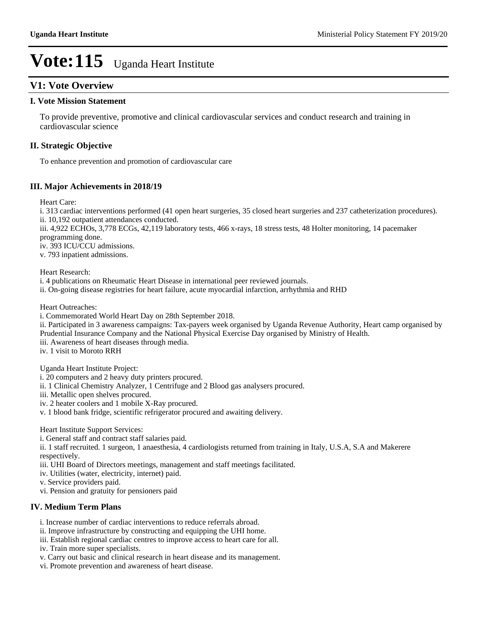## **V1: Vote Overview**

#### **I. Vote Mission Statement**

To provide preventive, promotive and clinical cardiovascular services and conduct research and training in cardiovascular science

#### **II. Strategic Objective**

To enhance prevention and promotion of cardiovascular care

#### **III. Major Achievements in 2018/19**

Heart Care:

i. 313 cardiac interventions performed (41 open heart surgeries, 35 closed heart surgeries and 237 catheterization procedures). ii. 10,192 outpatient attendances conducted.

iii. 4,922 ECHOs, 3,778 ECGs, 42,119 laboratory tests, 466 x-rays, 18 stress tests, 48 Holter monitoring, 14 pacemaker programming done.

iv. 393 ICU/CCU admissions.

v. 793 inpatient admissions.

Heart Research:

i. 4 publications on Rheumatic Heart Disease in international peer reviewed journals.

ii. On-going disease registries for heart failure, acute myocardial infarction, arrhythmia and RHD

Heart Outreaches:

i. Commemorated World Heart Day on 28th September 2018.

ii. Participated in 3 awareness campaigns: Tax-payers week organised by Uganda Revenue Authority, Heart camp organised by Prudential Insurance Company and the National Physical Exercise Day organised by Ministry of Health.

iii. Awareness of heart diseases through media.

iv. 1 visit to Moroto RRH

Uganda Heart Institute Project:

i. 20 computers and 2 heavy duty printers procured.

ii. 1 Clinical Chemistry Analyzer, 1 Centrifuge and 2 Blood gas analysers procured.

iii. Metallic open shelves procured.

iv. 2 heater coolers and 1 mobile X-Ray procured.

v. 1 blood bank fridge, scientific refrigerator procured and awaiting delivery.

Heart Institute Support Services:

i. General staff and contract staff salaries paid.

ii. 1 staff recruited. 1 surgeon, 1 anaesthesia, 4 cardiologists returned from training in Italy, U.S.A, S.A and Makerere respectively.

iii. UHI Board of Directors meetings, management and staff meetings facilitated.

iv. Utilities (water, electricity, internet) paid.

v. Service providers paid.

vi. Pension and gratuity for pensioners paid

#### **IV. Medium Term Plans**

i. Increase number of cardiac interventions to reduce referrals abroad.

ii. Improve infrastructure by constructing and equipping the UHI home.

iii. Establish regional cardiac centres to improve access to heart care for all.

iv. Train more super specialists.

v. Carry out basic and clinical research in heart disease and its management.

vi. Promote prevention and awareness of heart disease.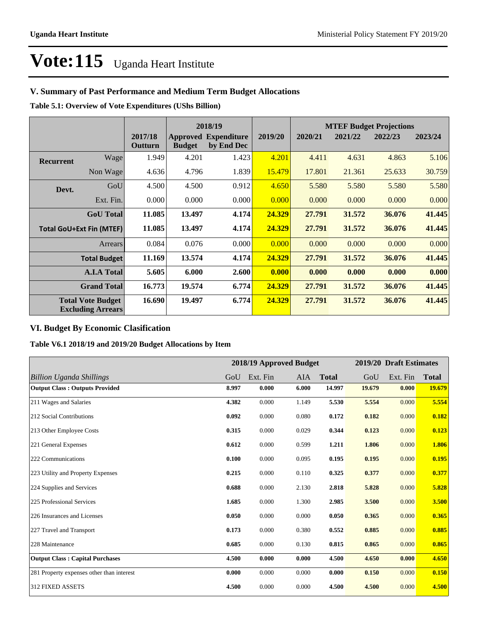## **V. Summary of Past Performance and Medium Term Budget Allocations**

**Table 5.1: Overview of Vote Expenditures (UShs Billion)**

|                  |                                                      |                    |               | 2018/19                                   |         | <b>MTEF Budget Projections</b> |         |         |         |
|------------------|------------------------------------------------------|--------------------|---------------|-------------------------------------------|---------|--------------------------------|---------|---------|---------|
|                  |                                                      | 2017/18<br>Outturn | <b>Budget</b> | <b>Approved Expenditure</b><br>by End Dec | 2019/20 | 2020/21                        | 2021/22 | 2022/23 | 2023/24 |
| <b>Recurrent</b> | Wage                                                 | 1.949              | 4.201         | 1.423                                     | 4.201   | 4.411                          | 4.631   | 4.863   | 5.106   |
|                  | Non Wage                                             | 4.636              | 4.796         | 1.839                                     | 15.479  | 17.801                         | 21.361  | 25.633  | 30.759  |
| Devt.            | GoU                                                  | 4.500              | 4.500         | 0.912                                     | 4.650   | 5.580                          | 5.580   | 5.580   | 5.580   |
|                  | Ext. Fin.                                            | 0.000              | 0.000         | 0.000                                     | 0.000   | 0.000                          | 0.000   | 0.000   | 0.000   |
|                  | <b>GoU</b> Total                                     | 11.085             | 13.497        | 4.174                                     | 24.329  | 27.791                         | 31.572  | 36.076  | 41.445  |
|                  | <b>Total GoU+Ext Fin (MTEF)</b>                      | 11.085             | 13.497        | 4.174                                     | 24.329  | 27.791                         | 31.572  | 36.076  | 41.445  |
|                  | Arrears                                              | 0.084              | 0.076         | 0.000                                     | 0.000   | 0.000                          | 0.000   | 0.000   | 0.000   |
|                  | <b>Total Budget</b>                                  | 11.169             | 13.574        | 4.174                                     | 24.329  | 27.791                         | 31.572  | 36.076  | 41.445  |
|                  | <b>A.I.A Total</b>                                   | 5.605              | 6.000         | 2.600                                     | 0.000   | 0.000                          | 0.000   | 0.000   | 0.000   |
|                  | <b>Grand Total</b>                                   | 16.773             | 19.574        | 6.774                                     | 24.329  | 27.791                         | 31.572  | 36.076  | 41.445  |
|                  | <b>Total Vote Budget</b><br><b>Excluding Arrears</b> | 16.690             | 19.497        | 6.774                                     | 24.329  | 27.791                         | 31.572  | 36.076  | 41.445  |

### **VI. Budget By Economic Clasification**

**Table V6.1 2018/19 and 2019/20 Budget Allocations by Item**

|                                           |       |          | 2018/19 Approved Budget |              |        | 2019/20 Draft Estimates |              |
|-------------------------------------------|-------|----------|-------------------------|--------------|--------|-------------------------|--------------|
| <b>Billion Uganda Shillings</b>           | GoU   | Ext. Fin | AIA                     | <b>Total</b> | GoU    | Ext. Fin                | <b>Total</b> |
| <b>Output Class: Outputs Provided</b>     | 8.997 | 0.000    | 6.000                   | 14.997       | 19.679 | 0.000                   | 19.679       |
| 211 Wages and Salaries                    | 4.382 | 0.000    | 1.149                   | 5.530        | 5.554  | 0.000                   | 5.554        |
| 212 Social Contributions                  | 0.092 | 0.000    | 0.080                   | 0.172        | 0.182  | 0.000                   | 0.182        |
| 213 Other Employee Costs                  | 0.315 | 0.000    | 0.029                   | 0.344        | 0.123  | 0.000                   | 0.123        |
| 221 General Expenses                      | 0.612 | 0.000    | 0.599                   | 1.211        | 1.806  | 0.000                   | 1.806        |
| 222 Communications                        | 0.100 | 0.000    | 0.095                   | 0.195        | 0.195  | 0.000                   | 0.195        |
| 223 Utility and Property Expenses         | 0.215 | 0.000    | 0.110                   | 0.325        | 0.377  | 0.000                   | 0.377        |
| 224 Supplies and Services                 | 0.688 | 0.000    | 2.130                   | 2.818        | 5.828  | 0.000                   | 5.828        |
| 225 Professional Services                 | 1.685 | 0.000    | 1.300                   | 2.985        | 3.500  | 0.000                   | 3.500        |
| 226 Insurances and Licenses               | 0.050 | 0.000    | 0.000                   | 0.050        | 0.365  | 0.000                   | 0.365        |
| 227 Travel and Transport                  | 0.173 | 0.000    | 0.380                   | 0.552        | 0.885  | 0.000                   | 0.885        |
| 228 Maintenance                           | 0.685 | 0.000    | 0.130                   | 0.815        | 0.865  | 0.000                   | 0.865        |
| <b>Output Class: Capital Purchases</b>    | 4.500 | 0.000    | 0.000                   | 4.500        | 4.650  | 0.000                   | 4.650        |
| 281 Property expenses other than interest | 0.000 | 0.000    | 0.000                   | 0.000        | 0.150  | 0.000                   | 0.150        |
| 312 FIXED ASSETS                          | 4.500 | 0.000    | 0.000                   | 4.500        | 4.500  | 0.000                   | 4.500        |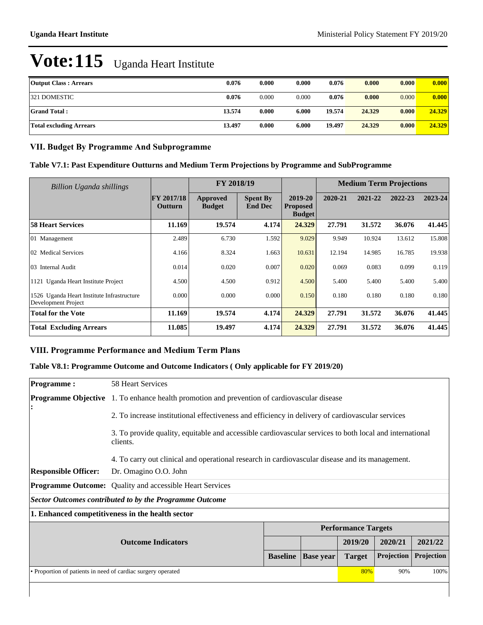| <b>Output Class: Arrears</b>   | 0.076  | 0.000 | 0.000 | 0.076  | 0.000  | 0.000 | 0.000  |
|--------------------------------|--------|-------|-------|--------|--------|-------|--------|
| <b>321 DOMESTIC</b>            | 0.076  | 0.000 | 0.000 | 0.076  | 0.000  | 0.000 | 0.000  |
| <b>Grand Total:</b>            | 13.574 | 0.000 | 6.000 | 19.574 | 24.329 | 0.000 | 24.329 |
| <b>Total excluding Arrears</b> | 13.497 | 0.000 | 6.000 | 19.497 | 24.329 | 0.000 | 24.329 |

#### **VII. Budget By Programme And Subprogramme**

| Table V7.1: Past Expenditure Outturns and Medium Term Projections by Programme and SubProgramme |  |  |
|-------------------------------------------------------------------------------------------------|--|--|
|-------------------------------------------------------------------------------------------------|--|--|

| Billion Uganda shillings                                          |                              | FY 2018/19                |                                   |                                             |         | <b>Medium Term Projections</b> |         |         |
|-------------------------------------------------------------------|------------------------------|---------------------------|-----------------------------------|---------------------------------------------|---------|--------------------------------|---------|---------|
|                                                                   | <b>FY 2017/18</b><br>Outturn | Approved<br><b>Budget</b> | <b>Spent By</b><br><b>End Dec</b> | 2019-20<br><b>Proposed</b><br><b>Budget</b> | 2020-21 | 2021-22                        | 2022-23 | 2023-24 |
| <b>58 Heart Services</b>                                          | 11.169                       | 19.574                    | 4.174                             | 24.329                                      | 27.791  | 31.572                         | 36.076  | 41.445  |
| 01 Management                                                     | 2.489                        | 6.730                     | 1.592                             | 9.029                                       | 9.949   | 10.924                         | 13.612  | 15.808  |
| 02 Medical Services                                               | 4.166                        | 8.324                     | 1.663                             | 10.631                                      | 12.194  | 14.985                         | 16.785  | 19.938  |
| 03 Internal Audit                                                 | 0.014                        | 0.020                     | 0.007                             | 0.020                                       | 0.069   | 0.083                          | 0.099   | 0.119   |
| 1121 Uganda Heart Institute Project                               | 4.500                        | 4.500                     | 0.912                             | 4.500                                       | 5.400   | 5.400                          | 5.400   | 5.400   |
| 1526 Uganda Heart Institute Infrastructure<br>Development Project | 0.000                        | 0.000                     | 0.000                             | 0.150                                       | 0.180   | 0.180                          | 0.180   | 0.180   |
| <b>Total for the Vote</b>                                         | 11.169                       | 19.574                    | 4.174                             | 24.329                                      | 27.791  | 31.572                         | 36.076  | 41.445  |
| <b>Total Excluding Arrears</b>                                    | 11.085                       | 19.497                    | 4.174                             | 24.329                                      | 27.791  | 31.572                         | 36.076  | 41.445  |

#### **VIII. Programme Performance and Medium Term Plans**

### **Table V8.1: Programme Outcome and Outcome Indicators ( Only applicable for FY 2019/20)**

| <b>Programme:</b>                                                                  | 58 Heart Services                                                                                                   |                                                                                                  |  |                            |         |            |  |
|------------------------------------------------------------------------------------|---------------------------------------------------------------------------------------------------------------------|--------------------------------------------------------------------------------------------------|--|----------------------------|---------|------------|--|
| <b>Programme Objective</b>                                                         | 1. To enhance health promotion and prevention of cardiovascular disease                                             |                                                                                                  |  |                            |         |            |  |
|                                                                                    |                                                                                                                     | 2. To increase institutional effectiveness and efficiency in delivery of cardiovascular services |  |                            |         |            |  |
|                                                                                    | 3. To provide quality, equitable and accessible cardiovascular services to both local and international<br>clients. |                                                                                                  |  |                            |         |            |  |
|                                                                                    | 4. To carry out clinical and operational research in cardiovascular disease and its management.                     |                                                                                                  |  |                            |         |            |  |
| <b>Responsible Officer:</b>                                                        | Dr. Omagino O.O. John                                                                                               |                                                                                                  |  |                            |         |            |  |
|                                                                                    | <b>Programme Outcome:</b> Quality and accessible Heart Services                                                     |                                                                                                  |  |                            |         |            |  |
|                                                                                    | <b>Sector Outcomes contributed to by the Programme Outcome</b>                                                      |                                                                                                  |  |                            |         |            |  |
|                                                                                    | 1. Enhanced competitiveness in the health sector                                                                    |                                                                                                  |  |                            |         |            |  |
|                                                                                    |                                                                                                                     |                                                                                                  |  | <b>Performance Targets</b> |         |            |  |
|                                                                                    | <b>Outcome Indicators</b>                                                                                           |                                                                                                  |  | 2019/20                    | 2020/21 | 2021/22    |  |
| Projection<br><b>Baseline</b><br><b>Base year</b><br><b>Target</b>                 |                                                                                                                     |                                                                                                  |  |                            |         | Projection |  |
| 80%<br>90%<br>100%<br>• Proportion of patients in need of cardiac surgery operated |                                                                                                                     |                                                                                                  |  |                            |         |            |  |
|                                                                                    |                                                                                                                     |                                                                                                  |  |                            |         |            |  |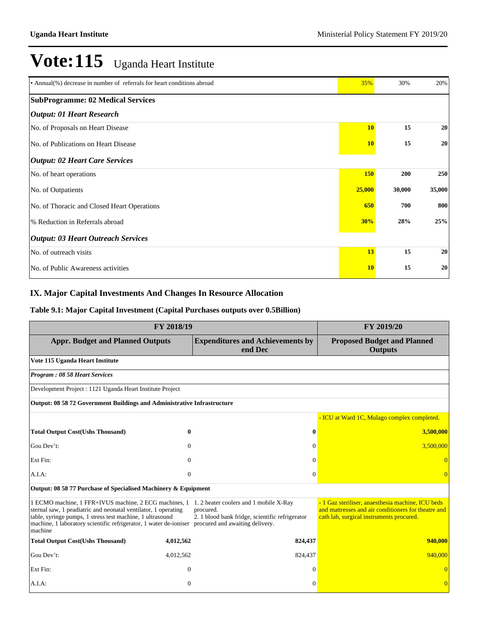| • Annual(%) decrease in number of referrals for heart conditions abroad | 35%        | 30%        | 20%    |
|-------------------------------------------------------------------------|------------|------------|--------|
| <b>SubProgramme: 02 Medical Services</b>                                |            |            |        |
| <b>Output: 01 Heart Research</b>                                        |            |            |        |
| No. of Proposals on Heart Disease                                       | <b>10</b>  | 15         | 20     |
| No. of Publications on Heart Disease                                    | <b>10</b>  | 15         | 20     |
| <b>Output: 02 Heart Care Services</b>                                   |            |            |        |
| No. of heart operations                                                 | <b>150</b> | <b>200</b> | 250    |
| No. of Outpatients                                                      | 25,000     | 30,000     | 35,000 |
| No. of Thoracic and Closed Heart Operations                             | 650        | 700        | 800    |
| % Reduction in Referrals abroad                                         | 30%        | 28%        | 25%    |
| <b>Output: 03 Heart Outreach Services</b>                               |            |            |        |
| No. of outreach visits                                                  | 13         | 15         | 20     |
| No. of Public Awareness activities                                      | <b>10</b>  | 15         | 20     |

## **IX. Major Capital Investments And Changes In Resource Allocation**

#### **Table 9.1: Major Capital Investment (Capital Purchases outputs over 0.5Billion)**

| FY 2018/19                                                                                                                                                                                                                                                                                           | FY 2019/20                                                                                             |                                                                                                                                                      |
|------------------------------------------------------------------------------------------------------------------------------------------------------------------------------------------------------------------------------------------------------------------------------------------------------|--------------------------------------------------------------------------------------------------------|------------------------------------------------------------------------------------------------------------------------------------------------------|
| <b>Appr. Budget and Planned Outputs</b>                                                                                                                                                                                                                                                              | <b>Expenditures and Achievements by</b><br>end Dec                                                     | <b>Proposed Budget and Planned</b><br><b>Outputs</b>                                                                                                 |
| Vote 115 Uganda Heart Institute                                                                                                                                                                                                                                                                      |                                                                                                        |                                                                                                                                                      |
| <b>Program: 08 58 Heart Services</b>                                                                                                                                                                                                                                                                 |                                                                                                        |                                                                                                                                                      |
| Development Project : 1121 Uganda Heart Institute Project                                                                                                                                                                                                                                            |                                                                                                        |                                                                                                                                                      |
| Output: 08 58 72 Government Buildings and Administrative Infrastructure                                                                                                                                                                                                                              |                                                                                                        |                                                                                                                                                      |
|                                                                                                                                                                                                                                                                                                      |                                                                                                        | - ICU at Ward 1C, Mulago complex completed.                                                                                                          |
| <b>Total Output Cost(Ushs Thousand)</b>                                                                                                                                                                                                                                                              | $\bf{0}$<br>$\mathbf{0}$                                                                               | 3,500,000                                                                                                                                            |
| Gou Dev't:                                                                                                                                                                                                                                                                                           | $\Omega$<br>$\Omega$                                                                                   | 3,500,000                                                                                                                                            |
| Ext Fin:                                                                                                                                                                                                                                                                                             | $\mathbf{0}$<br>$\Omega$                                                                               |                                                                                                                                                      |
| A.I.A.                                                                                                                                                                                                                                                                                               | $\Omega$<br>$\Omega$                                                                                   |                                                                                                                                                      |
| Output: 08 58 77 Purchase of Specialised Machinery & Equipment                                                                                                                                                                                                                                       |                                                                                                        |                                                                                                                                                      |
| 1 ECMO machine, 1 FFR+IVUS machine, 2 ECG machines, 1<br>sternal saw, 1 peadiatric and neonatal ventilator, 1 operating<br>table, syringe pumps, 1 stress test machine, 1 ultrasound<br>machine, 1 laboratory scientific refrigerator, 1 water de-ioniser procured and awaiting delivery.<br>machine | 1. 2 heater coolers and 1 mobile X-Ray<br>procured.<br>2. 1 blood bank fridge, scientific refrigerator | - 1 Gaz steriliser, anaesthesia machine, ICU beds<br>and mattresses and air conditioners for theatre and<br>cath lab, surgical instruments procured. |
| <b>Total Output Cost(Ushs Thousand)</b><br>4,012,562                                                                                                                                                                                                                                                 | 824,437                                                                                                | 940,000                                                                                                                                              |
| Gou Dev't:<br>4,012,562                                                                                                                                                                                                                                                                              | 824,437                                                                                                | 940,000                                                                                                                                              |
| Ext Fin:                                                                                                                                                                                                                                                                                             | $\theta$<br>$\Omega$                                                                                   |                                                                                                                                                      |
| A.I.A:                                                                                                                                                                                                                                                                                               | $\theta$<br>$\Omega$                                                                                   | $\overline{0}$                                                                                                                                       |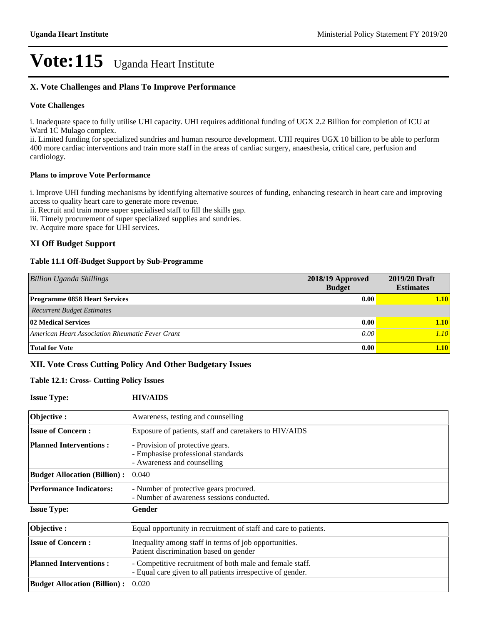#### **X. Vote Challenges and Plans To Improve Performance**

#### **Vote Challenges**

i. Inadequate space to fully utilise UHI capacity. UHI requires additional funding of UGX 2.2 Billion for completion of ICU at Ward 1C Mulago complex.

ii. Limited funding for specialized sundries and human resource development. UHI requires UGX 10 billion to be able to perform 400 more cardiac interventions and train more staff in the areas of cardiac surgery, anaesthesia, critical care, perfusion and cardiology.

#### **Plans to improve Vote Performance**

i. Improve UHI funding mechanisms by identifying alternative sources of funding, enhancing research in heart care and improving access to quality heart care to generate more revenue.

ii. Recruit and train more super specialised staff to fill the skills gap.

iii. Timely procurement of super specialized supplies and sundries.

iv. Acquire more space for UHI services.

#### **XI Off Budget Support**

#### **Table 11.1 Off-Budget Support by Sub-Programme**

| <b>Billion Uganda Shillings</b>                  | 2018/19 Approved<br><b>Budget</b> | 2019/20 Draft<br><b>Estimates</b> |
|--------------------------------------------------|-----------------------------------|-----------------------------------|
| <b>Programme 0858 Heart Services</b>             | 0.00                              | 1.10                              |
| <b>Recurrent Budget Estimates</b>                |                                   |                                   |
| 02 Medical Services                              | 0.00                              | 1.10                              |
| American Heart Association Rheumatic Fever Grant | 0.00                              | 1.10                              |
| <b>Total for Vote</b>                            | 0.00                              | 1.10                              |

#### **XII. Vote Cross Cutting Policy And Other Budgetary Issues**

#### **Table 12.1: Cross- Cutting Policy Issues**

| <b>Issue Type:</b>                  | <b>HIV/AIDS</b>                                                                                                        |
|-------------------------------------|------------------------------------------------------------------------------------------------------------------------|
| Objective :                         | Awareness, testing and counselling                                                                                     |
| <b>Issue of Concern:</b>            | Exposure of patients, staff and caretakers to HIV/AIDS                                                                 |
| <b>Planned Interventions:</b>       | - Provision of protective gears.<br>- Emphasise professional standards<br>- Awareness and counselling                  |
| <b>Budget Allocation (Billion):</b> | 0.040                                                                                                                  |
| <b>Performance Indicators:</b>      | - Number of protective gears procured.<br>- Number of awareness sessions conducted.                                    |
| <b>Issue Type:</b>                  | Gender                                                                                                                 |
| Objective:                          | Equal opportunity in recruitment of staff and care to patients.                                                        |
| <b>Issue of Concern:</b>            | Inequality among staff in terms of job opportunities.<br>Patient discrimination based on gender                        |
| <b>Planned Interventions:</b>       | - Competitive recruitment of both male and female staff.<br>- Equal care given to all patients irrespective of gender. |
| <b>Budget Allocation (Billion):</b> | 0.020                                                                                                                  |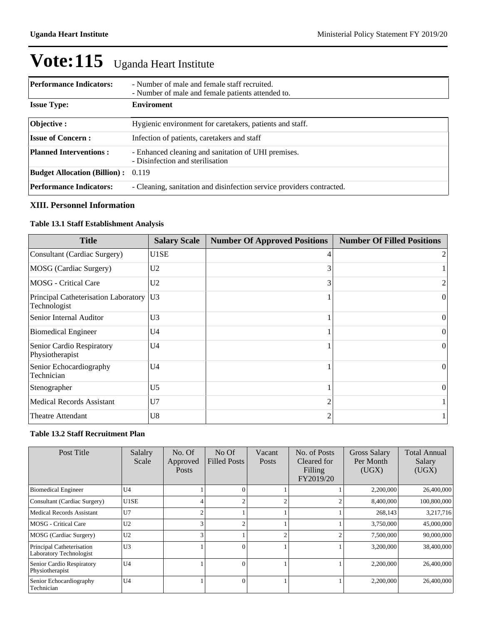| <b>Performance Indicators:</b>            | - Number of male and female staff recruited.<br>- Number of male and female patients attended to. |
|-------------------------------------------|---------------------------------------------------------------------------------------------------|
| <b>Issue Type:</b>                        | <b>Enviroment</b>                                                                                 |
| <b>Objective:</b>                         | Hygienic environment for caretakers, patients and staff.                                          |
| <b>Issue of Concern:</b>                  | Infection of patients, caretakers and staff                                                       |
| <b>Planned Interventions:</b>             | - Enhanced cleaning and sanitation of UHI premises.<br>- Disinfection and sterilisation           |
| <b>Budget Allocation (Billion):</b> 0.119 |                                                                                                   |
| <b>Performance Indicators:</b>            | - Cleaning, sanitation and disinfection service providers contracted.                             |

#### **XIII. Personnel Information**

## **Table 13.1 Staff Establishment Analysis**

| <b>Title</b>                                         | <b>Salary Scale</b> | <b>Number Of Approved Positions</b> | <b>Number Of Filled Positions</b> |
|------------------------------------------------------|---------------------|-------------------------------------|-----------------------------------|
| Consultant (Cardiac Surgery)                         | U1SE                | 4                                   | 2                                 |
| MOSG (Cardiac Surgery)                               | U <sub>2</sub>      | 3                                   |                                   |
| <b>MOSG</b> - Critical Care                          | U <sub>2</sub>      | 3                                   |                                   |
| Principal Catheterisation Laboratory<br>Technologist | U <sub>3</sub>      |                                     | $\theta$                          |
| Senior Internal Auditor                              | U <sub>3</sub>      |                                     | 0                                 |
| <b>Biomedical Engineer</b>                           | U <sub>4</sub>      |                                     | $\Omega$                          |
| Senior Cardio Respiratory<br>Physiotherapist         | U <sub>4</sub>      |                                     | $\theta$                          |
| Senior Echocardiography<br>Technician                | U <sub>4</sub>      |                                     | $\theta$                          |
| Stenographer                                         | U <sub>5</sub>      |                                     | $\Omega$                          |
| <b>Medical Records Assistant</b>                     | U7                  | っ                                   |                                   |
| Theatre Attendant                                    | U <sub>8</sub>      | 2                                   |                                   |

#### **Table 13.2 Staff Recruitment Plan**

| Post Title                                           | Salalry<br>Scale | No. Of<br>Approved<br>Posts | $No$ Of<br><b>Filled Posts</b> | Vacant<br>Posts | No. of Posts<br>Cleared for<br>Filling<br>FY2019/20 | Gross Salary<br>Per Month<br>(UGX) | <b>Total Annual</b><br>Salary<br>(UGX) |
|------------------------------------------------------|------------------|-----------------------------|--------------------------------|-----------------|-----------------------------------------------------|------------------------------------|----------------------------------------|
| <b>Biomedical Engineer</b>                           | U <sub>4</sub>   |                             |                                |                 |                                                     | 2,200,000                          | 26,400,000                             |
| Consultant (Cardiac Surgery)                         | U1SE             | 4                           |                                |                 |                                                     | 8,400,000                          | 100,800,000                            |
| <b>Medical Records Assistant</b>                     | $U$ 7            | $\overline{2}$              |                                |                 |                                                     | 268,143                            | 3,217,716                              |
| <b>MOSG</b> - Critical Care                          | U <sub>2</sub>   | 3                           |                                |                 |                                                     | 3,750,000                          | 45,000,000                             |
| MOSG (Cardiac Surgery)                               | U <sub>2</sub>   | 3                           |                                |                 |                                                     | 7,500,000                          | 90,000,000                             |
| Principal Catheterisation<br>Laboratory Technologist | U <sub>3</sub>   |                             |                                |                 |                                                     | 3,200,000                          | 38,400,000                             |
| Senior Cardio Respiratory<br>Physiotherapist         | U <sub>4</sub>   |                             |                                |                 |                                                     | 2,200,000                          | 26,400,000                             |
| Senior Echocardiography<br>Technician                | U <sub>4</sub>   |                             |                                |                 |                                                     | 2,200,000                          | 26,400,000                             |